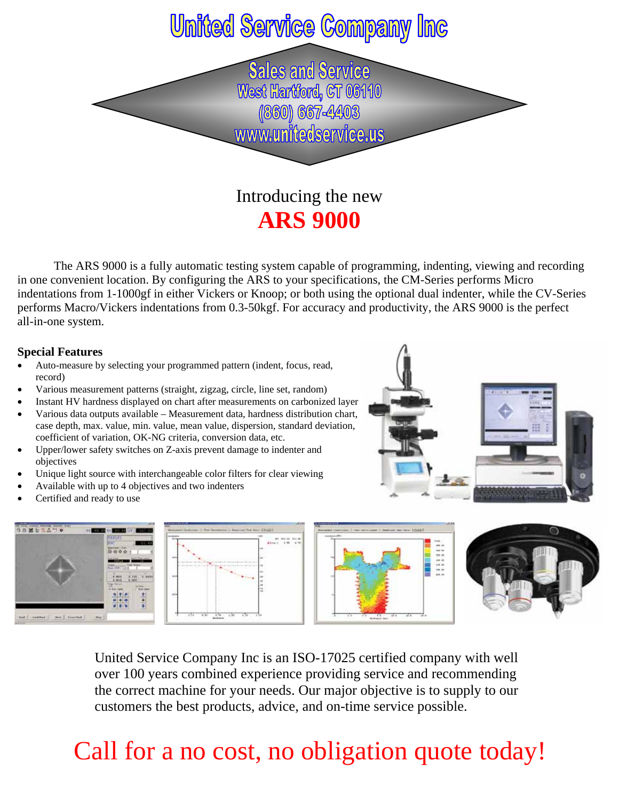### **United Service Company Inc**

**Sales and Service** West Hartford, CT 06110 (860) 667-4403 www.unitedservice.us

### Introducing the new **ARS 9000**

 The ARS 9000 is a fully automatic testing system capable of programming, indenting, viewing and recording in one convenient location. By configuring the ARS to your specifications, the CM-Series performs Micro indentations from 1-1000gf in either Vickers or Knoop; or both using the optional dual indenter, while the CV-Series performs Macro/Vickers indentations from 0.3-50kgf. For accuracy and productivity, the ARS 9000 is the perfect all-in-one system.

#### **Special Features**

- Auto-measure by selecting your programmed pattern (indent, focus, read, record)
- Various measurement patterns (straight, zigzag, circle, line set, random)
- Instant HV hardness displayed on chart after measurements on carbonized layer
- Various data outputs available Measurement data, hardness distribution chart, case depth, max. value, min. value, mean value, dispersion, standard deviation, coefficient of variation, OK-NG criteria, conversion data, etc.
- Upper/lower safety switches on Z-axis prevent damage to indenter and objectives
- Unique light source with interchangeable color filters for clear viewing
- Available with up to 4 objectives and two indenters
- Certified and ready to use









United Service Company Inc is an ISO-17025 certified company with well over 100 years combined experience providing service and recommending the correct machine for your needs. Our major objective is to supply to our customers the best products, advice, and on-time service possible.

## Call for a no cost, no obligation quote today!